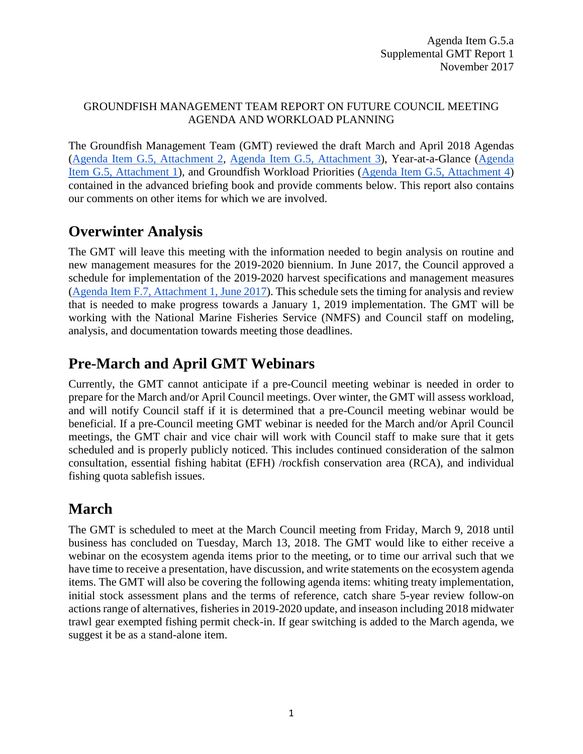#### GROUNDFISH MANAGEMENT TEAM REPORT ON FUTURE COUNCIL MEETING AGENDA AND WORKLOAD PLANNING

The Groundfish Management Team (GMT) reviewed the draft March and April 2018 Agendas [\(Agenda Item G.5, Attachment 2,](http://www.pcouncil.org/wp-content/uploads/2017/10/G5_Att2_Mar2018_QR_NOV2017BB.pdf) Agenda Item [G.5, Attachment 3\)](http://www.pcouncil.org/wp-content/uploads/2017/10/G5_Att3_APRIL2018_QR_NOV2017BB.pdf), Year-at-a-Glance [\(Agenda](http://www.pcouncil.org/wp-content/uploads/2017/10/G5_Att1_YAG_NOV2017BB.pdf)  [Item G.5, Attachment 1\)](http://www.pcouncil.org/wp-content/uploads/2017/10/G5_Att1_YAG_NOV2017BB.pdf), and Groundfish Workload Priorities (Agenda Item [G.5, Attachment 4\)](http://www.pcouncil.org/wp-content/uploads/2017/10/G5_Att4_GFworkload_NOV2017BB.pdf) contained in the advanced briefing book and provide comments below. This report also contains our comments on other items for which we are involved.

#### **Overwinter Analysis**

The GMT will leave this meeting with the information needed to begin analysis on routine and new management measures for the 2019-2020 biennium. In June 2017, the Council approved a schedule for implementation of the 2019-2020 harvest specifications and management measures (Agenda Item F.7, [Attachment 1, June 2017\)](http://www.pcouncil.org/wp-content/uploads/2017/05/F7_Att1_Spex_Schedule_Jun2017BB.pdf). This schedule sets the timing for analysis and review that is needed to make progress towards a January 1, 2019 implementation. The GMT will be working with the National Marine Fisheries Service (NMFS) and Council staff on modeling, analysis, and documentation towards meeting those deadlines.

#### **Pre-March and April GMT Webinars**

Currently, the GMT cannot anticipate if a pre-Council meeting webinar is needed in order to prepare for the March and/or April Council meetings. Over winter, the GMT will assess workload, and will notify Council staff if it is determined that a pre-Council meeting webinar would be beneficial. If a pre-Council meeting GMT webinar is needed for the March and/or April Council meetings, the GMT chair and vice chair will work with Council staff to make sure that it gets scheduled and is properly publicly noticed. This includes continued consideration of the salmon consultation, essential fishing habitat (EFH) /rockfish conservation area (RCA), and individual fishing quota sablefish issues.

# **March**

The GMT is scheduled to meet at the March Council meeting from Friday, March 9, 2018 until business has concluded on Tuesday, March 13, 2018. The GMT would like to either receive a webinar on the ecosystem agenda items prior to the meeting, or to time our arrival such that we have time to receive a presentation, have discussion, and write statements on the ecosystem agenda items. The GMT will also be covering the following agenda items: whiting treaty implementation, initial stock assessment plans and the terms of reference, catch share 5-year review follow-on actions range of alternatives, fisheries in 2019-2020 update, and inseason including 2018 midwater trawl gear exempted fishing permit check-in. If gear switching is added to the March agenda, we suggest it be as a stand-alone item.